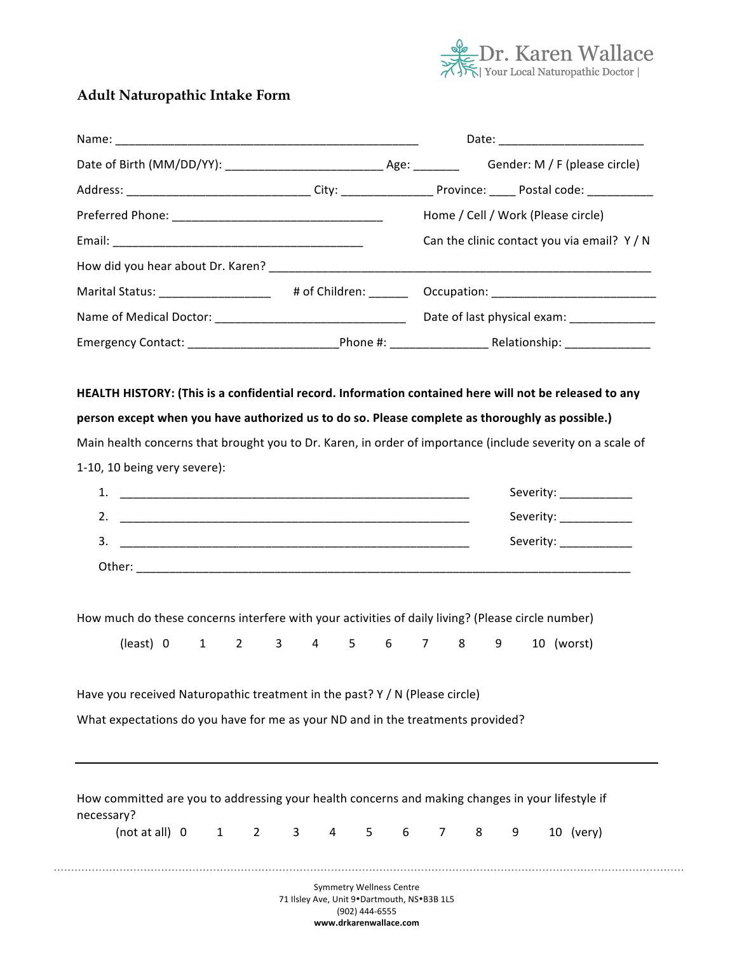

# **Adult Naturopathic Intake Form**

|                                                                                                                                                                                                                                                                                  |                                                  |                         |       | Date: ________________________                                                                             |
|----------------------------------------------------------------------------------------------------------------------------------------------------------------------------------------------------------------------------------------------------------------------------------|--------------------------------------------------|-------------------------|-------|------------------------------------------------------------------------------------------------------------|
|                                                                                                                                                                                                                                                                                  |                                                  |                         |       |                                                                                                            |
|                                                                                                                                                                                                                                                                                  |                                                  |                         |       |                                                                                                            |
|                                                                                                                                                                                                                                                                                  |                                                  |                         |       | Home / Cell / Work (Please circle)                                                                         |
|                                                                                                                                                                                                                                                                                  |                                                  |                         |       | Can the clinic contact you via email? Y / N                                                                |
|                                                                                                                                                                                                                                                                                  |                                                  |                         |       |                                                                                                            |
|                                                                                                                                                                                                                                                                                  |                                                  |                         |       | Marital Status: ____________________ # of Children: _______ Occupation: ___________________________        |
|                                                                                                                                                                                                                                                                                  |                                                  |                         |       |                                                                                                            |
|                                                                                                                                                                                                                                                                                  |                                                  |                         |       |                                                                                                            |
| 1-10, 10 being very severe):                                                                                                                                                                                                                                                     |                                                  |                         |       |                                                                                                            |
|                                                                                                                                                                                                                                                                                  |                                                  |                         |       | Main health concerns that brought you to Dr. Karen, in order of importance (include severity on a scale of |
|                                                                                                                                                                                                                                                                                  |                                                  |                         |       |                                                                                                            |
|                                                                                                                                                                                                                                                                                  |                                                  |                         |       |                                                                                                            |
|                                                                                                                                                                                                                                                                                  |                                                  |                         |       | Severity: ____________                                                                                     |
|                                                                                                                                                                                                                                                                                  |                                                  |                         |       | Severity: _____________                                                                                    |
|                                                                                                                                                                                                                                                                                  |                                                  |                         |       | Severity: _______________                                                                                  |
| How much do these concerns interfere with your activities of daily living? (Please circle number)<br>(least) 0<br>Have you received Naturopathic treatment in the past? Y / N (Please circle)<br>What expectations do you have for me as your ND and in the treatments provided? | 3 <sup>1</sup><br>$\overline{2}$<br>$\mathbf{1}$ | $\overline{4}$<br>$5 -$ | 6 7 8 | 9<br>10 (worst)                                                                                            |
| necessary?                                                                                                                                                                                                                                                                       |                                                  |                         |       | How committed are you to addressing your health concerns and making changes in your lifestyle if           |

71 Ilsley Ave, Unit 9•Dartmouth, NS•B3B 1L5 (902) 444-6555 **www.drkarenwallace.com**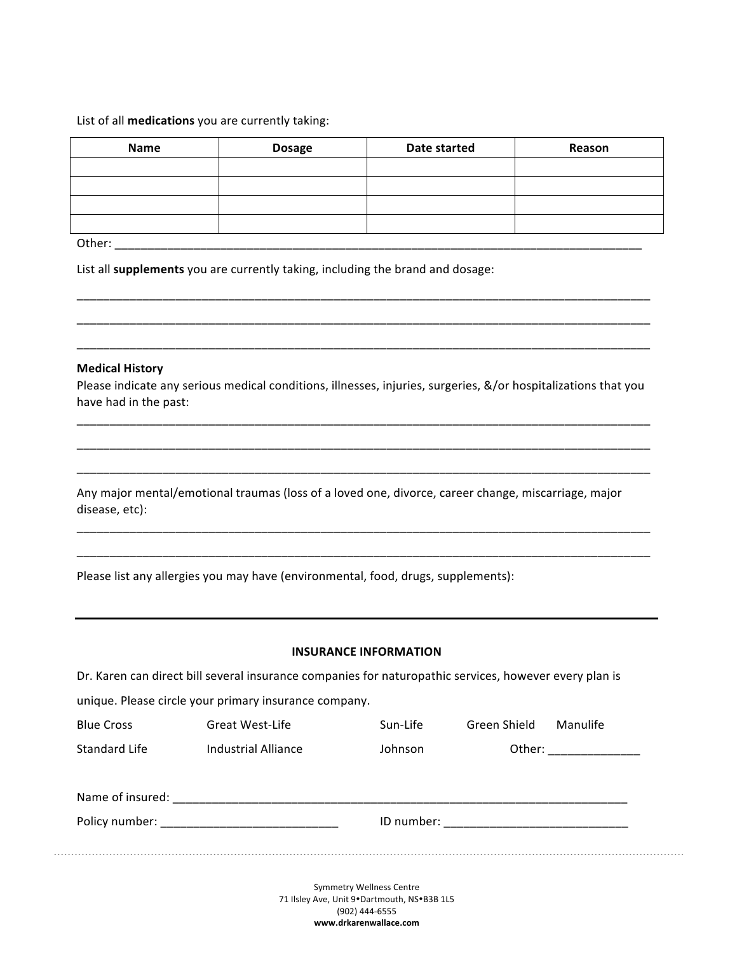## List of all **medications** you are currently taking:

| Name | <b>Dosage</b> | Date started | Reason |
|------|---------------|--------------|--------|
|      |               |              |        |
|      |               |              |        |
|      |               |              |        |
|      |               |              |        |

Other: \_\_\_\_\_\_\_\_\_\_\_\_\_\_\_\_\_\_\_\_\_\_\_\_\_\_\_\_\_\_\_\_\_\_\_\_\_\_\_\_\_\_\_\_\_\_\_\_\_\_\_\_\_\_\_\_\_\_\_\_\_\_\_\_\_\_\_\_\_\_\_\_\_\_\_\_\_\_\_\_

List all **supplements** you are currently taking, including the brand and dosage:

#### **Medical History**

Please indicate any serious medical conditions, illnesses, injuries, surgeries, &/or hospitalizations that you have had in the past:

\_\_\_\_\_\_\_\_\_\_\_\_\_\_\_\_\_\_\_\_\_\_\_\_\_\_\_\_\_\_\_\_\_\_\_\_\_\_\_\_\_\_\_\_\_\_\_\_\_\_\_\_\_\_\_\_\_\_\_\_\_\_\_\_\_\_\_\_\_\_\_\_\_\_\_\_\_\_\_\_\_\_\_\_\_\_\_ \_\_\_\_\_\_\_\_\_\_\_\_\_\_\_\_\_\_\_\_\_\_\_\_\_\_\_\_\_\_\_\_\_\_\_\_\_\_\_\_\_\_\_\_\_\_\_\_\_\_\_\_\_\_\_\_\_\_\_\_\_\_\_\_\_\_\_\_\_\_\_\_\_\_\_\_\_\_\_\_\_\_\_\_\_\_\_

\_\_\_\_\_\_\_\_\_\_\_\_\_\_\_\_\_\_\_\_\_\_\_\_\_\_\_\_\_\_\_\_\_\_\_\_\_\_\_\_\_\_\_\_\_\_\_\_\_\_\_\_\_\_\_\_\_\_\_\_\_\_\_\_\_\_\_\_\_\_\_\_\_\_\_\_\_\_\_\_\_\_\_\_\_\_\_

\_\_\_\_\_\_\_\_\_\_\_\_\_\_\_\_\_\_\_\_\_\_\_\_\_\_\_\_\_\_\_\_\_\_\_\_\_\_\_\_\_\_\_\_\_\_\_\_\_\_\_\_\_\_\_\_\_\_\_\_\_\_\_\_\_\_\_\_\_\_\_\_\_\_\_\_\_\_\_\_\_\_\_\_\_\_\_

\_\_\_\_\_\_\_\_\_\_\_\_\_\_\_\_\_\_\_\_\_\_\_\_\_\_\_\_\_\_\_\_\_\_\_\_\_\_\_\_\_\_\_\_\_\_\_\_\_\_\_\_\_\_\_\_\_\_\_\_\_\_\_\_\_\_\_\_\_\_\_\_\_\_\_\_\_\_\_\_\_\_\_\_\_\_\_

\_\_\_\_\_\_\_\_\_\_\_\_\_\_\_\_\_\_\_\_\_\_\_\_\_\_\_\_\_\_\_\_\_\_\_\_\_\_\_\_\_\_\_\_\_\_\_\_\_\_\_\_\_\_\_\_\_\_\_\_\_\_\_\_\_\_\_\_\_\_\_\_\_\_\_\_\_\_\_\_\_\_\_\_\_\_\_

\_\_\_\_\_\_\_\_\_\_\_\_\_\_\_\_\_\_\_\_\_\_\_\_\_\_\_\_\_\_\_\_\_\_\_\_\_\_\_\_\_\_\_\_\_\_\_\_\_\_\_\_\_\_\_\_\_\_\_\_\_\_\_\_\_\_\_\_\_\_\_\_\_\_\_\_\_\_\_\_\_\_\_\_\_\_\_

\_\_\_\_\_\_\_\_\_\_\_\_\_\_\_\_\_\_\_\_\_\_\_\_\_\_\_\_\_\_\_\_\_\_\_\_\_\_\_\_\_\_\_\_\_\_\_\_\_\_\_\_\_\_\_\_\_\_\_\_\_\_\_\_\_\_\_\_\_\_\_\_\_\_\_\_\_\_\_\_\_\_\_\_\_\_\_

Any major mental/emotional traumas (loss of a loved one, divorce, career change, miscarriage, major disease, etc):

Please list any allergies you may have (environmental, food, drugs, supplements):

### **INSURANCE INFORMATION**

Dr. Karen can direct bill several insurance companies for naturopathic services, however every plan is

unique. Please circle your primary insurance company.

| <b>Blue Cross</b> | Great West-Life                                                                                                                                                                                                               | Sun-Life | Green Shield | Manulife |
|-------------------|-------------------------------------------------------------------------------------------------------------------------------------------------------------------------------------------------------------------------------|----------|--------------|----------|
| Standard Life     | Industrial Alliance                                                                                                                                                                                                           | Johnson  | Other:       |          |
| Name of insured:  |                                                                                                                                                                                                                               |          |              |          |
|                   | Policy number: Note and the set of the set of the set of the set of the set of the set of the set of the set of the set of the set of the set of the set of the set of the set of the set of the set of the set of the set of |          |              |          |

Symmetry Wellness Centre 71 Ilsley Ave, Unit 9. Dartmouth, NS.B3B 1L5 (902) 444-6555 **www.drkarenwallace.com**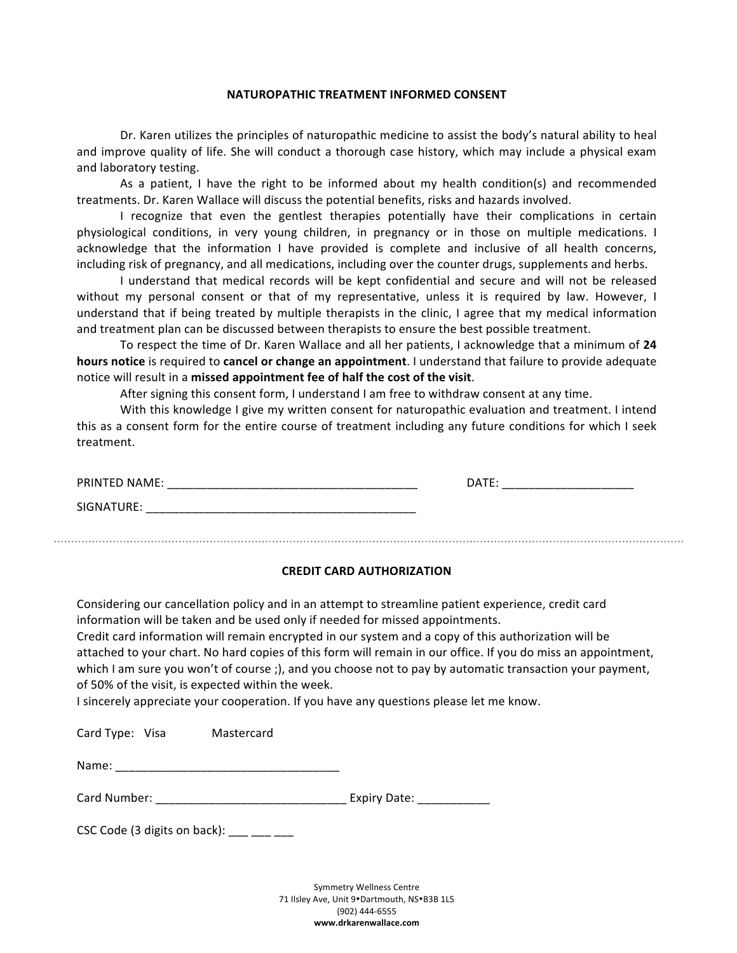# **NATUROPATHIC TREATMENT INFORMED CONSENT**

Dr. Karen utilizes the principles of naturopathic medicine to assist the body's natural ability to heal and improve quality of life. She will conduct a thorough case history, which may include a physical exam and laboratory testing.

As a patient, I have the right to be informed about my health condition(s) and recommended treatments. Dr. Karen Wallace will discuss the potential benefits, risks and hazards involved.

I recognize that even the gentlest therapies potentially have their complications in certain physiological conditions, in very young children, in pregnancy or in those on multiple medications. I acknowledge that the information I have provided is complete and inclusive of all health concerns, including risk of pregnancy, and all medications, including over the counter drugs, supplements and herbs.

I understand that medical records will be kept confidential and secure and will not be released without my personal consent or that of my representative, unless it is required by law. However, I understand that if being treated by multiple therapists in the clinic, I agree that my medical information and treatment plan can be discussed between therapists to ensure the best possible treatment.

To respect the time of Dr. Karen Wallace and all her patients, I acknowledge that a minimum of 24 **hours notice** is required to **cancel or change an appointment**. I understand that failure to provide adequate notice will result in a missed appointment fee of half the cost of the visit.

After signing this consent form, I understand I am free to withdraw consent at any time.

With this knowledge I give my written consent for naturopathic evaluation and treatment. I intend this as a consent form for the entire course of treatment including any future conditions for which I seek treatment. 

| <b>PRINTED NAME:</b> | <b>DATE</b>            |
|----------------------|------------------------|
|                      | ______________________ |
| `GNATURE.            |                        |

#### **CREDIT CARD AUTHORIZATION**

Considering our cancellation policy and in an attempt to streamline patient experience, credit card information will be taken and be used only if needed for missed appointments.

Credit card information will remain encrypted in our system and a copy of this authorization will be attached to your chart. No hard copies of this form will remain in our office. If you do miss an appointment, which I am sure you won't of course ;), and you choose not to pay by automatic transaction your payment, of 50% of the visit, is expected within the week.

I sincerely appreciate your cooperation. If you have any questions please let me know.

| Card Type: Visa | Mastercard |
|-----------------|------------|
|                 |            |

Name: \_\_\_\_\_\_\_\_\_\_\_\_\_\_\_\_\_\_\_\_\_\_\_\_\_\_\_\_\_\_\_\_\_\_

Card Number: \_\_\_\_\_\_\_\_\_\_\_\_\_\_\_\_\_\_\_\_\_\_\_\_\_\_\_\_\_ Expiry Date: \_\_\_\_\_\_\_\_\_\_\_

CSC Code (3 digits on back):  $\qquad \qquad \qquad \qquad$ 

Symmetry Wellness Centre 71 Ilsley Ave, Unit 9•Dartmouth, NS•B3B 1L5 (902) 444-6555 **www.drkarenwallace.com**